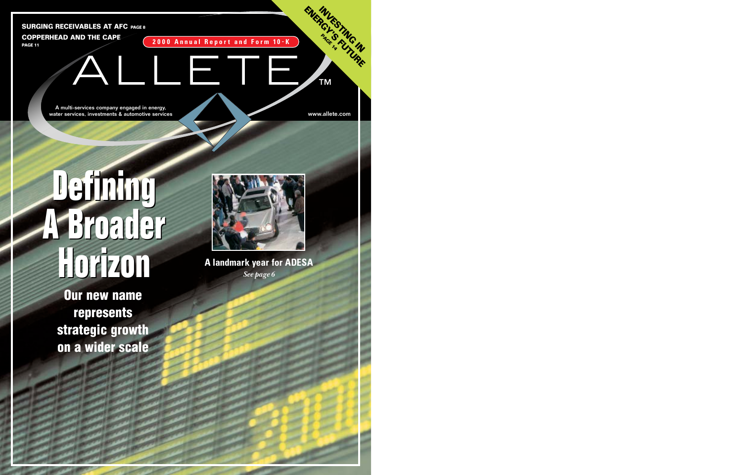**A landmark year for ADESA** *See page 6*

## **Defining A Broader Horizon Horizon Defining A Broader**



Our new name represents strategic growth on a wider scale

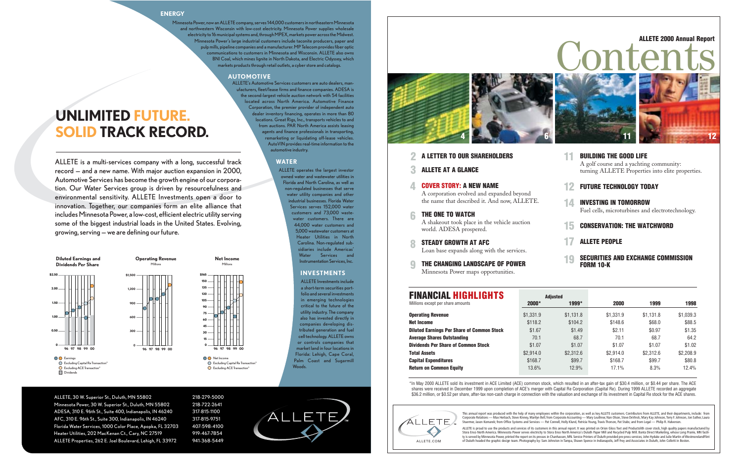STEADY GROWTH AT AFC  $\mathbf R$ 

THE CHANGING LANDSCAPE OF POWER Minnesota Power maps opportunities.  $\bf{Q}$ 

A corporation evolved and expanded beyond the name that described it. And now, ALLETE.

#### A LETTER TO OUR SHAREHOLDERS 2

ALLETE AT A GLANCE 3

> A shakeout took place in the vehicle auction world. ADESA prospered.

#### COVER STORY: A NEW NAME 4

#### THE ONE TO WATCH 6

Loan base expands along with the services.

This annual report was produced with the help of many employees within the corporation, as well as key ALLETE customers. Contributors from ALLETE, and their departments, include: from Corporate Relations — Max Herbach, Steve Kinney, Marilyn Bell; from Corporate Accounting — Mary Leuthner, Nan Olson, Steve DeVinck, Mary Kay Johnson,Terry F. Johnson, Jon Sather, Laura Stuermer, Jason Komarek; from Office Systems and Services — Pat Connell, Holly Klund, Patricia Young, Travis Thorson, Pat Stabs; and from Legal — Philip R. Halverson.

A golf course and a yachting community: turning ALLETE Properties into elite properties.

#### BUILDING THE GOOD LIFE 11

- FUTURE TECHNOLOGY TODAY 12
- INVESTING IN TOMORROW Fuel cells, microturbines and electrotechnology. 14
- CONSERVATION: THE WATCHWORD 15
- ALLETE PEOPLE 17
- SECURITIES AND EXCHANGE COMMISSION FORM 10-K 19



Contents

\*In May 2000 ALLETE sold its investment in ACE Limited (ACE) common stock, which resulted in an after-tax gain of \$30.4 million, or \$0.44 per share. The ACE shares were received in December 1999 upon completion of ACE's merger with Capital Re Corporation (Capital Re). During 1999 ALLETE recorded an aggregate \$36.2 million, or \$0.52 per share, after-tax non-cash charge in connection with the valuation and exchange of its investment in Capital Re stock for the ACE shares.



| <b>FINANCIAL HIGHLIGHTS</b>                       |           | <b>Adiusted</b> |           |           |           |
|---------------------------------------------------|-----------|-----------------|-----------|-----------|-----------|
| Millions except per share amounts                 | $2000*$   | 1999*           | 2000      | 1999      | 1998      |
| <b>Operating Revenue</b>                          | \$1,331.9 | \$1.131.8       | \$1.331.9 | \$1.131.8 | \$1,039.3 |
| <b>Net Income</b>                                 | \$118.2   | \$104.2         | \$148.6   | \$68.0    | \$88.5    |
| <b>Diluted Earnings Per Share of Common Stock</b> | \$1.67    | \$1.49          | \$2.11    | \$0.97    | \$1.35    |
| <b>Average Shares Outstanding</b>                 | 70.1      | 68.7            | 70.1      | 68.7      | 64.2      |
| <b>Dividends Per Share of Common Stock</b>        | \$1.07    | \$1.07          | \$1.07    | \$1.07    | \$1.02    |
| <b>Total Assets</b>                               | \$2.914.0 | \$2,312.6       | \$2.914.0 | \$2,312.6 | \$2,208.9 |
| <b>Capital Expenditures</b>                       | \$168.7   | \$99.7          | \$168.7   | \$99.7    | \$80.8    |
| <b>Return on Common Equity</b>                    | 13.6%     | 12.9%           | 17.1%     | 8.3%      | 12.4%     |

ALLETE is proud to use the products and services of its customers in this annual report. It was printed on Orion Gloss Text and Productolith cover stock, high quality papers manufactured by Stora Enso North America. Minnesota Power serves electricity to Stora Enso North America's Duluth Paper Mill and Recycled Pulp Mill. Banta Direct Marketing, whose Long Prairie, MN facility is served by Minnesota Power, printed the report on its presses in Chanhassen, MN. Service Printers of Duluth provided pre-press services; John Hyduke and Julie Martin of WestmorelandFlint ALLETE.COM of Duluth headed the graphic design team. Photography by: Sam Johnston in Tampa, Shawn Spence in Indianapolis, Jeff Frey and Associates in Duluth, John Colletti in Boston.

#### ALLETE 2000 Annual Report

#### **ENERGY**

ALLETE, 30 W. Superior St., Duluth, MN 55802 218-279-5000 Minnesota Power, 30 W. Superior St., Duluth, MN 55802 218-722-2641 ADESA, 310 E. 96th St., Suite 400, Indianapolis, IN 46240 317-815-1100 AFC, 310 E. 96th St., Suite 300, Indianapolis, IN 46240 317-815-9751 Florida Water Services, 1000 Color Place, Apopka, FL 32703 407-598-4100 Heater Utilities, 202 MacKenan Ct., Cary, NC 27519 919-467-7854 ALLETE Properties, 262 E. Joel Boulevard, Lehigh, FL 33972 941-368-5449

Minnesota Power, now an ALLETE company, serves 144,000 customers in northeastern Minnesota and northwestern Wisconsin with low-cost electricity. Minnesota Power supplies wholesale electricity to 16 municipal systems and, through MPEX, markets power across the Midwest. Minnesota Power's large industrial customers include taconite producers, paper and pulp mills, pipeline companies and a manufacturer. MP Telecom provides fiber optic communications to customers in Minnesota and Wisconsin. ALLETE also owns BNI Coal, which mines lignite in North Dakota, and Electric Odyssey, which markets products through retail outlets, a cyber store and catalogs.

#### **AUTOMOTIVE**

ALLETE's Automotive Services customers are auto dealers, manufacturers, fleet/lease firms and finance companies. ADESA is the second-largest vehicle auction network with 54 facilities located across North America. Automotive Finance Corporation, the premier provider of independent auto dealer inventory financing, operates in more than 80 locations. Great Rigs, Inc., transports vehicles to and from auctions. PAR North America assists leasing agents and finance professionals in transporting, remarketing or liquidating off-lease vehicles. AutoVIN provides real-time information to the automotive industry.

#### **WATER**

ALLETE operates the largest investor owned water and wastewater utilities in Florida and North Carolina, as well as non-regulated businesses that serve water utility companies and other industrial businesses. Florida Water Services serves 152,000 water customers and 73,000 wastewater customers. There are 44,000 water customers and 5,000 wastewater customers at Heater Utilities in North Carolina. Non-regulated subsidiaries include Americas' Water Services and Instrumentation Services, Inc.

#### **INVESTMENTS**

ALLETE Investments include a short-term securities portfolio and several investments in emerging technologies critical to the future of the utility industry. The company also has invested directly in companies developing distributed generation and fuel cell technology. ALLETE owns or controls companies that market land in four locations in Florida: Lehigh, Cape Coral, Palm Coast and Sugarmill Woods.

ALLETE is a multi-services company with a long, successful track record — and a new name. With major auction expansion in 2000, Automotive Services has become the growth engine of our corporation. Our Water Services group is driven by resourcefulness and environmental sensitivity. ALLETE Investments open a door to innovation. Together, our companies form an elite alliance that includes Minnesota Power, a low-cost, efficient electric utility serving some of the biggest industrial loads in the United States. Evolving, growing, serving — we are defining our future.

**UNLIMITED FUTURE. SOLID TRACK RECORD.**

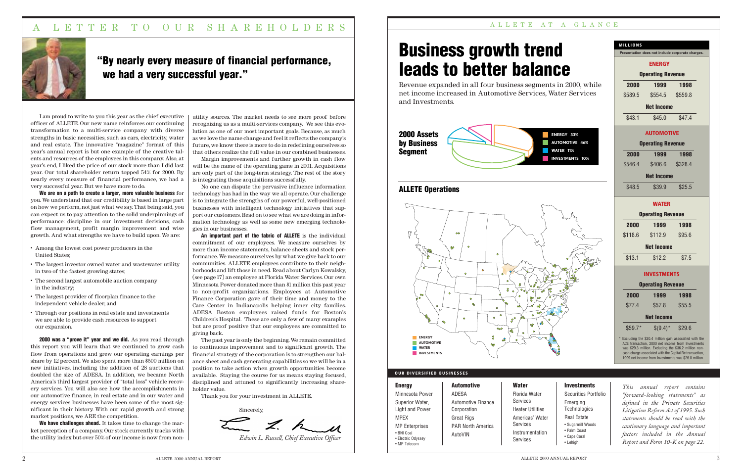#### A L L E T E AT A G L A N C E

ter

I am proud to write to you this year as the chief executive officer of ALLETE. Our new name reinforces our continuing transformation to a multi-service company with diverse strengths in basic necessities, such as cars, electricity, water and real estate. The innovative "magazine" format of this year's annual report is but one example of the creative talents and resources of the employees in this company. Also, at year's end, I liked the price of our stock more than I did last year. Our total shareholder return topped 54% for 2000. By nearly every measure of financial performance, we had a very successful year. But we have more to do.

We are on a path to create a larger, more valuable business for you. We understand that our credibility is based in large part on how we perform, not just what we say. That being said, you can expect us to pay attention to the solid underpinnings of performance: discipline in our investment decisions, cash flow management, profit margin improvement and wise growth. And what strengths we have to build upon. We are:

**2000 was a "prove it" year and we did.** As you read through this report you will learn that we continued to grow cash flow from operations and grew our operating earnings per share by 12 percent. We also spent more than \$500 million on new initiatives, including the addition of 28 auctions that doubled the size of ADESA. In addition, we became North America's third largest provider of "total loss" vehicle recovery services. You will also see how the accomplishments in our automotive finance, in real estate and in our water and energy services businesses have been some of the most significant in their history. With our rapid growth and strong market positions, we ARE the competition.

We have challenges ahead. It takes time to change the market perception of a company. Our stock currently tracks with the utility index but over 50% of our income is now from non-

- **•** Among the lowest cost power producers in the United States;
- **•** The largest investor owned water and wastewater utility in two of the fastest growing states;
- **•** The second largest automobile auction company in the industry;
- **•** The largest provider of floorplan finance to the independent vehicle dealer; and
- **•** Through our positions in real estate and investments we are able to provide cash resources to support our expansion.

An important part of the fabric of ALLETE is the individual commitment of our employees. We measure ourselves by more than income statements, balance sheets and stock performance. We measure ourselves by what we give back to our communities. ALLETE employees contribute to their neighborhoods and lift those in need. Read about Carlyn Kowalsky, (see page 17) an employee at Florida Water Services. Our own Minnesota Power donated more than \$1 million this past year to non-profit organizations. Employees at Automotive Finance Corporation gave of their time and money to the Care Center in Indianapolis helping inner city families. ADESA Boston employees raised funds for Boston's Children's Hospital. These are only a few of many examples but are proof positive that our employees are committed to giving back.

utility sources. The market needs to see more proof before recognizing us as a multi-services company. We see this evolution as one of our most important goals. Because, as much as we love the name change and feel it reflects the company's future, we know there is more to do in redefining ourselves so that others realize the full value in our combined businesses.

> **Investments** Securities Portfolio

**Emerging** Technologies Real Estate • Sugarmill Woods • Palm Coast • Cape Coral • Lehigh

Margin improvements and further growth in cash flow will be the name of the operating game in 2001. Acquisitions are only part of the long-term strategy. The rest of the story is integrating those acquisitions successfully.

No one can dispute the pervasive influence information technology has had in the way we all operate. Our challenge is to integrate the strengths of our powerful, well-positioned businesses with intelligent technology initiatives that support our customers. Read on to see what we are doing in information technology as well as some new emerging technologies in our businesses.

The past year is only the beginning. We remain committed to continuous improvement and to significant growth. The financial strategy of the corporation is to strengthen our balance sheet and cash generating capabilities so we will be in a position to take action when growth opportunities become available. Staying the course for us means staying focused, disciplined and attuned to significantly increasing shareholder value.

Thank you for your investment in ALLETE.

Sincerely, *Edwin L. Russell, Chief Executive Officer*

## "By nearly every measure of financial performance, we had a very successful year."

| <b>Energy</b>                                    | <b>Automotive</b>        | <b>Water</b>                |
|--------------------------------------------------|--------------------------|-----------------------------|
| Minnesota Power                                  | ADESA                    | Florida Water               |
| Superior Water,                                  | Automotive Finance       | Services                    |
| <b>Light and Power</b>                           | Corporation              | <b>Heater Utilities</b>     |
| <b>MPEX</b>                                      | <b>Great Rigs</b>        | Americas' Water             |
| <b>MP</b> Enterprises                            | <b>PAR North America</b> | Services                    |
| • BNI Coal<br>• Electric Odyssey<br>• MP Telecom | AutoVIN                  | Instrumentation<br>Services |

2 ALLETE 2000 ANNUAL REPORT 3



*This annual report contains "forward-looking statements" as defined in the Private Securities Litigation Reform Act of 1995. Such statements should be read with the cautionary language and important factors included in the Annual Report and Form 10-K on page 22.*





## A LETTER TO OUR SHAREHOLDERS



#### **OUR DIVERSIFIED BUSINESSES**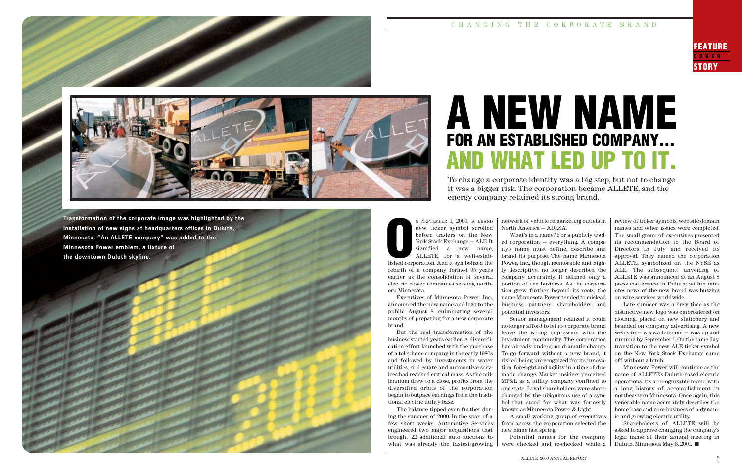#### C H A N G I N G T H E C O R P O R AT E B R A N D

FEATURE OVER<sub>1</sub> **STORY** 





**Transformation of the corporate image was highlighted by the installation of new signs at headquarters offices in Duluth, Minnesota. "An ALLETE company" was added to the Minnesota Power emblem, a fixture of the downtown Duluth skyline.**

N SEPTEMBER 1, 2000, A BRAND new ticker symbol scrolled before traders on the New York Stock Exchange — ALE. It signified a new name, ALLETE, for a well-established corporation. And it symbolized the rebirth of a company formed 95 years earlier as the consolidation of several electric power companies serving northern Minnesota. Extended to the United States

To change a corporate identity was a big step, but not to change it was a bigger risk. The corporation became ALLETE, and the energy company retained its strong brand.

> network of vehicle remarketing outlets in North America — ADESA.

> What's in a name? For a publicly traded corporation — everything. A company's name must define, describe and brand its purpose. The name Minnesota Power, Inc., though memorable and highly descriptive, no longer described the company accurately. It defined only a portion of the business. As the corporation grew further beyond its roots, the name Minnesota Power tended to mislead business partners, shareholders and potential investors.

> Senior management realized it could no longer afford to let its corporate brand leave the wrong impression with the investment community. The corporation had already undergone dramatic change. To go forward without a new brand, it risked being unrecognized for its innovation, foresight and agility in a time of dramatic change. Market insiders perceived MP&L as a utility company confined to one state. Loyal shareholders were shortchanged by the ubiquitous use of a symbol that stood for what was formerly known as Minnesota Power & Light.

> A small working group of executives from across the corporation selected the new name last spring. Potential names for the company

were checked and re-checked while a

Executives of Minnesota Power, Inc., announced the new name and logo to the public August 8, culminating several months of preparing for a new corporate brand.

But the real transformation of the business started years earlier. A diversification effort launched with the purchase of a telephone company in the early 1980s and followed by investments in water utilities, real estate and automotive services had reached critical mass. As the millennium drew to a close, profits from the diversified orbits of the corporation began to outpace earnings from the traditional electric utility base.

The balance tipped even further during the summer of 2000. In the span of a few short weeks, Automotive Services engineered two major acquisitions that brought 22 additional auto auctions to what was already the fastest-growing

## A NEW NAME FOR AN ESTABLISHED COMPANY... AND WHAT LED UP TO IT.

review of ticker symbols, web site domain names and other issues were completed. The small group of executives presented its recommendation to the Board of Directors in July and received its approval. They named the corporation ALLETE, symbolized on the NYSE as ALE. The subsequent unveiling of ALLETE was announced at an August 8 press conference in Duluth; within minutes news of the new brand was buzzing on wire services worldwide.

Late summer was a busy time as the distinctive new logo was embroidered on clothing, placed on new stationery and branded on company advertising. A new web site — www.allete.com — was up and running by September 1. On the same day, transition to the new ALE ticker symbol on the New York Stock Exchange came off without a hitch.

Minnesota Power will continue as the name of ALLETE's Duluth-based electric operations. It's a recognizable brand with a long history of accomplishment in northeastern Minnesota. Once again, this venerable name accurately describes the home base and core business of a dynamic and growing electric utility.

Shareholders of ALLETE will be asked to approve changing the company's legal name at their annual meeting in Duluth, Minnesota May 8, 2001.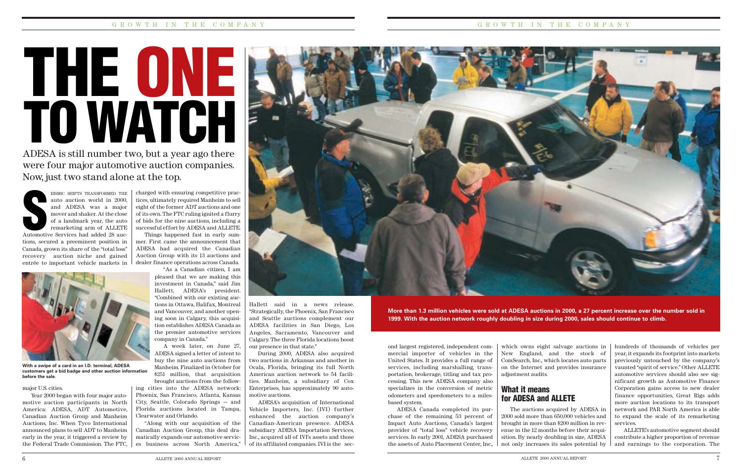# THE ONE TO WATCH

**More than 1.3 million vehicles were sold at ADESA auctions in 2000, a 27 percent increase over the number sold in 1999. With the auction network roughly doubling in size during 2000, sales should continue to climb.**

charged with ensuring competitive practices, ultimately required Manheim to sell eight of the former ADT auctions and one of its own. The FTC ruling ignited a flurry of bids for the nine auctions, including a successful effort by ADESA and ALLETE.

Things happened fast in early summer. First came the announcement that ADESA had acquired the Canadian Auction Group with its 13 auctions and dealer finance operations across Canada.

> "As a Canadian citizen, I am pleased that we are making this investment in Canada," said Jim Hallett, ADESA's president. "Combined with our existing auctions in Ottawa, Halifax, Montreal and Vancouver, and another opening soon in Calgary, this acquisition establishes ADESA Canada as the premier automotive services company in Canada." A week later, on June 27,

ADESA signed a letter of intent to buy the nine auto auctions from Manheim. Finalized in October for \$251 million, that acquisition brought auctions from the follow-

ing cities into the ADESA network: Phoenix, San Francisco, Atlanta, Kansas City, Seattle, Colorado Springs — and Florida auctions located in Tampa, Clearwater and Orlando.

"Along with our acquisition of the Canadian Auction Group, this deal dramatically expands our automotive services business across North America,"

ADESA is still number two, but a year ago there were four major automotive auction companies. Now, just two stand alone at the top.



"Strategically, the Phoenix, San Francisco and Seattle auctions complement our ADESA facilities in San Diego, Los Angeles, Sacramento, Vancouver and Calgary. The three Florida locations boost

our presence in that state."

During 2000, ADESA also acquired two auctions in Arkansas and another in Ocala, Florida, bringing its full North American auction network to 54 facilities. Manheim, a subsidiary of Cox Enterprises, has approximately 90 auto-

motive auctions.

EISMIC SHIFTS TRANSFORMED THE auto auction world in 2000, and ADESA was a major mover and shaker. At the close of a landmark year, the auto remarketing arm of ALLETE EISMIC SHIFTS TRANSFORMED THE<br>
auto auction world in 2000,<br>
and ADESA was a major<br>
mover and shaker. At the close<br>
of a landmark year, the auto<br>
remarketing arm of ALLETE<br>
Automotive Services had added 28 auc-<br>
tions secur tions, secured a preeminent position in

> ADESA's acquisition of International Vehicle Importers, Inc. (IVI) further enhanced the auction company's Canadian-American presence. ADESA subsidiary ADESA Importation Services, Inc., acquired all of IVI's assets and those of its affiliated companies. IVI is the sec-

ond largest registered, independent commercial importer of vehicles in the United States. It provides a full range of services, including marshalling, transportation, brokerage, titling and tax processing. This new ADESA company also specializes in the conversion of metric odometers and speedometers to a milesbased system.

ADESA Canada completed its purchase of the remaining 53 percent of Impact Auto Auctions, Canada's largest provider of "total loss" vehicle recovery services. In early 2001, ADESA purchased the assets of Auto Placement Center, Inc.,

which owns eight salvage auctions in New England, and the stock of ComSearch, Inc., which locates auto parts on the Internet and provides insurance adjustment audits.

#### What it means for ADESA and ALLETE

The auctions acquired by ADESA in 2000 sold more than 650,000 vehicles and brought in more than \$200 million in revenue in the 12 months before their acquisition. By nearly doubling in size, ADESA not only increases its sales potential by hundreds of thousands of vehicles per year, it expands its footprint into markets previously untouched by the company's vaunted "spirit of service." Other ALLETE automotive services should also see significant growth as Automotive Finance Corporation gains access to new dealer finance opportunities, Great Rigs adds more auction locations to its transport network and PAR North America is able to expand the scale of its remarketing services.

ALLETE's automotive segment should contribute a higher proportion of revenue and earnings to the corporation. The

#### major U.S. cities.

Year 2000 began with four major automotive auction participants in North America: ADESA, ADT Automotive, Canadian Auction Group and Manheim Auctions, Inc. When Tyco International announced plans to sell ADT to Manheim early in the year, it triggered a review by the Federal Trade Commission. The FTC,

Canada, grown its share of the "total loss" recovery auction niche and gained entrée to important vehicle markets in



**With a swipe of a card in an I.D. terminal, ADESA customers get a bid badge and other auction information before the sale.**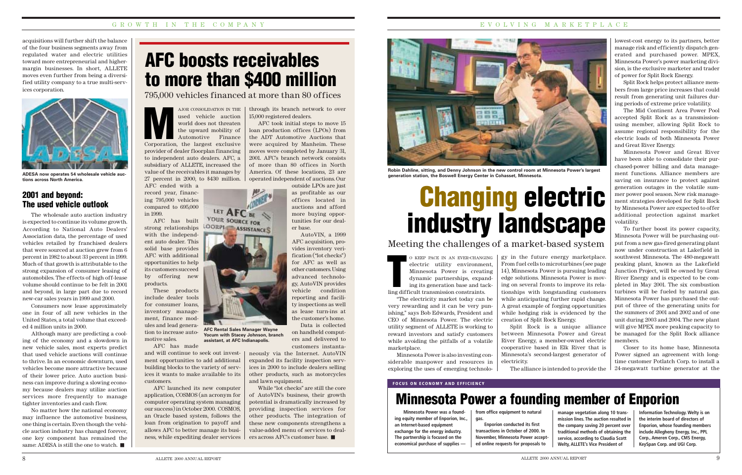acquisitions will further shift the balance of the four business segments away from regulated water and electric utilities toward more entrepreneurial and highermargin businesses. In short, ALLETE moves even further from being a diversified utility company to a true multi-services corporation.

## AFC boosts receivables to more than \$400 million

AJOR CONSOLIDATION IN THE used vehicle auction world does not threaten the upward mobility of Automotive Finance AJOR CONSOLIDATION IN THE used vehicle auction world does not threaten<br>the upward mobility of Automotive Finance<br>Corporation, the largest exclusive provider of dealer floorplan financing to independent auto dealers. AFC, a subsidiary of ALLETE, increased the value of the receivables it manages by 27 percent in 2000, to \$430 million. AFC ended with a

record year, financing 795,000 vehicles compared to 695,000 in 1999.

> O KEEP PACE IN AN EVER-CHANGING electric utility environment, Minnesota Power is creating dynamic partnerships, expanding its generation base and tack-O KEEP PACE IN AN EVER-CHANG<br>
> electric utility environme<br>
> Minnesota Power is creati<br>
> dynamic partnerships, expansing its generation base and ta<br>
> ling difficult transmission constraints.

AFC has built strong relationships with the independent auto dealer. This solid base provides AFC with additional opportunities to help its customers succeed by offering new products.

These products include dealer tools for consumer loans, inventory management, finance modules and lead generation to increase automotive sales.

AFC has made

and will continue to seek out investment opportunities to add additional building blocks to the variety of services it wants to make available to its customers.

AFC launched its new computer application, COSMOS (an acronym for computer operating system managing our success) in October 2000. COSMOS, an Oracle based system, follows the loan from origination to payoff and allows AFC to better manage its business, while expediting dealer services lowest-cost energy to its partners, better manage risk and efficiently dispatch generated and purchased power. MPEX, Minnesota Power's power marketing division, is the exclusive marketer and trader of power for Split Rock Energy.

Split Rock helps protect alliance members from large price increases that could result from generating unit failures during periods of extreme price volatility.

The Mid Continent Area Power Pool accepted Split Rock as a transmissionusing member, allowing Split Rock to assume regional responsibility for the electric loads of both Minnesota Power and Great River Energy.

Minnesota Power and Great River have been able to consolidate their purchased-power billing and data management functions. Alliance members are saving on insurance to protect against generation outages in the volatile summer power pool season. New risk management strategies developed for Split Rock by Minnesota Power are expected to offer additional protection against market volatility.

## Changing electric industry landscape Meeting the challenges of a market-based system

To further boost its power capacity, Minnesota Power will be purchasing output from a new gas-fired generating plant now under construction at Lakefield in southwest Minnesota. The 480-megawatt peaking plant, known as the Lakefield Junction Project, will be owned by Great River Energy and is expected to be completed in May 2001. The six combustion turbines will be fueled by natural gas. Minnesota Power has purchased the output of three of the generating units for the summers of 2001 and 2002 and of one unit during 2003 and 2004. The new plant will give MPEX more peaking capacity to be managed for the Split Rock alliance members.

Closer to its home base, Minnesota Power signed an agreement with longtime customer Potlatch Corp. to install a 24-megawatt turbine generator at the

**FOCUS ON ECONOMY AND EFFICIENCY**

## Minnesota Power a founding member of Enporion

**from office equipment to natural gas. Enporion conducted its first**

**transactions in October of 2000. In November, Minnesota Power accepted online requests for proposals to**

**manage vegetation along 10 transmission lines. The auction resulted in the company saving 20 percent over traditional methods of obtaining the service, according to Claudia Scott Welty, ALLETE's Vice President of**

**Information Technology. Welty is on the interim board of directors of Enporion, whose founding members include Allegheny Energy, Inc., PPL Corp., Ameren Corp., CMS Energy, KeySpan Corp. and UGI Corp.**

No matter how the national economy may influence the automotive business, one thing is certain. Even though the vehicle auction industry has changed forever, one key component has remained the same: ADESA is still the one to watch.

"The electricity market today can be very rewarding and it can be very punishing," says Bob Edwards, President and CEO of Minnesota Power. The electric utility segment of ALLETE is working to reward investors and satisfy customers while avoiding the pitfalls of a volatile marketplace.

Minnesota Power is also investing considerable manpower and resources in exploring the uses of emerging technolo-

**Minnesota Power was a founding equity member of Enporion, Inc., an Internet-based equipment exchange for the energy industry. The partnership is focused on the economical purchase of supplies —**

through its branch network to over 15,000 registered dealers.

AFC took initial steps to move 15 loan production offices (LPOs) from the ADT Automotive Auctions that were acquired by Manheim. These moves were completed by January 31, 2001. AFC's branch network consists of more than 80 offices in North America. Of these locations, 23 are operated independent of auctions. Our

outside LPOs are just as profitable as our offices located in auctions and afford more buying opportunities for our dealer base.

AutoVIN, a 1999 AFC acquisition, provides inventory verification ("lot checks") for AFC as well as other customers. Using advanced technology, AutoVIN provides vehicle condition reporting and facility inspections as well as lease turn-ins at the customer's home. Data is collected

on handheld computers and delivered to customers instanta-

neously via the Internet. AutoVIN expanded its facility inspection services in 2000 to include dealers selling other products, such as motorcycles and lawn equipment.

While "lot checks" are still the core of AutoVIN's business, their growth potential is dramatically increased by providing inspection services for other products. The integration of these new components strengthens a value-added menu of services to dealers across AFC's customer base.

795,000 vehicles financed at more than 80 offices



**ADESA now operates 54 wholesale vehicle auctions across North America.**

**AFC Rental Sales Manager Wayne Yocum with Stacey Johnson, branch assistant, at AFC Indianapolis.**

LET AFC BE **YOUR SOURCE FOR** 

ASSISTANCES

LOORPL

gy in the future energy marketplace. From fuel cells to microturbines (see page 14), Minnesota Power is pursuing leading edge solutions. Minnesota Power is moving on several fronts to improve its relationships with longstanding customers while anticipating further rapid change. A great example of forging opportunities while hedging risk is evidenced by the creation of Split Rock Energy.

Split Rock is a unique alliance between Minnesota Power and Great River Energy, a member-owned electric cooperative based in Elk River that is Minnesota's second-largest generator of

electricity.

The alliance is intended to provide the



**Robin Dahline, sitting, and Denny Johnson in the new control room at Minnesota Power's largest generation station, the Boswell Energy Center in Cohasset, Minnesota.**

#### 2001 and beyond: The used vehicle outlook

The wholesale auto auction industry is expected to continue its volume growth. According to National Auto Dealers' Association data, the percentage of used vehicles retailed by franchised dealers that were sourced at auction grew from 6 percent in 1982 to about 33 percent in 1999. Much of that growth is attributable to the strong expansion of consumer leasing of automobiles. The effects of high off-lease volume should continue to be felt in 2001 and beyond, in large part due to record new-car sales years in 1999 and 2000.

Consumers now lease approximately one in four of all new vehicles in the United States, a total volume that exceeded 4 million units in 2000.

Although many are predicting a cooling of the economy and a slowdown in new vehicle sales, most experts predict that used vehicle auctions will continue to thrive. In an economic downturn, used vehicles become more attractive because of their lower price. Auto auction business can improve during a slowing economy because dealers may utilize auction services more frequently to manage tighter inventories and cash flow.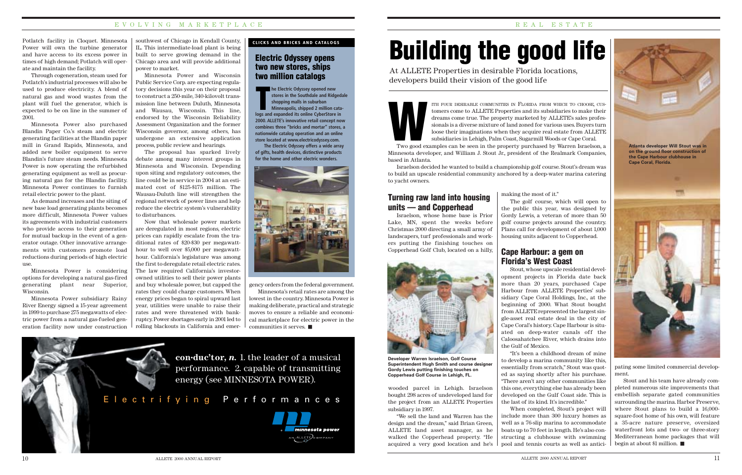#### Electric Odyssey opens two new stores, ships two million catalogs

#### E V O L V I N G M A R K E T P L A C E R E R E A L E S T A T E

Potlatch facility in Cloquet. Minnesota Power will own the turbine generator and have access to its excess power in times of high demand; Potlatch will operate and maintain the facility.

Through cogeneration, steam used for Potlatch's industrial processes will also be used to produce electricity. A blend of natural gas and wood wastes from the plant will fuel the generator, which is expected to be on line in the summer of 2001.

Minnesota Power also purchased Blandin Paper Co.'s steam and electric generating facilities at the Blandin paper mill in Grand Rapids, Minnesota, and added new boiler equipment to serve Blandin's future steam needs. Minnesota Power is now operating the refurbished generating equipment as well as procuring natural gas for the Blandin facility. Minnesota Power continues to furnish retail electric power to the plant.

As demand increases and the siting of new base load generating plants becomes more difficult, Minnesota Power values its agreements with industrial customers who provide access to their generation for mutual backup in the event of a generator outage. Other innovative arrangements with customers promote load reductions during periods of high electric use.

Minnesota Power is considering options for developing a natural gas-fired generating plant near Superior, Wisconsin.

Minnesota Power subsidiary Rainy River Energy signed a 15-year agreement in 1999 to purchase 275 megawatts of electric power from a natural gas-fueled generation facility now under construction southwest of Chicago in Kendall County, IL. This intermediate-load plant is being built to serve growing demand in the Chicago area and will provide additional power to market.

Minnesota Power and Wisconsin Public Service Corp. are expecting regulatory decisions this year on their proposal to construct a 250-mile, 340-kilovolt transmission line between Duluth, Minnesota and Wausau, Wisconsin. This line, endorsed by the Wisconsin Reliability Assessment Organization and the former Wisconsin governor, among others, has undergone an extensive application process, public review and hearings.

The proposal has sparked lively debate among many interest groups in Minnesota and Wisconsin. Depending upon siting and regulatory outcomes, the line could be in service in 2004 at an estimated cost of \$125-\$175 million. The Wausau-Duluth line will strengthen the regional network of power lines and help reduce the electric system's vulnerability to disturbances.

Now that wholesale power markets are deregulated in most regions, electric prices can rapidly escalate from the traditional rates of \$20-\$30 per megawatthour to well over \$5,000 per megawatthour. California's legislature was among the first to deregulate retail electric rates. The law required California's investorowned utilities to sell their power plants and buy wholesale power, but capped the rates they could charge customers. When energy prices began to spiral upward last year, utilities were unable to raise their rates and were threatened with bankruptcy. Power shortages early in 2001 led to rolling blackouts in California and emer-



**he Electric Odyssey opened new stores in the Southdale and Ridgedale shopping malls in suburban Minneapolis, shipped 2 million catalogs and Electric Odyssey opened new stores in the Southdale and Ridged shopping malls in suburban<br>Minneapolis, shipped 2 million catalogs and expanded its online CyberStore in 2000. ALLETE's innovative retail concept now combines three "bricks and mortar" stores, a nationwide catalog operation and an online store located at www.electricodyssey.com.**

**The Electric Odyssey offers a wide array of gifts, health devices, distinctive products for the home and other electric wonders.**



#### Turning raw land into housing units — and Copperhead

Israelson, whose home base is Prior Lake, MN, spent the weeks before Christmas 2000 directing a small army of landscapers, turf professionals and workers putting the finishing touches on Copperhead Golf Club, located on a hilly,

## Building the good life

At ALLETE Properties in desirable Florida locations, developers build their vision of the good life

> ITH FOUR DESIRABLE COMMUNITIES IN FLORIDA FROM WHICH TO CHOOSE, CUStomers come to ALLETE Properties and its subsidiaries to make their dreams come true. The property marketed by ALLETE's sales professionals is a diverse mixture of land zoned for various uses. Buyers turn loose their imaginations when they acquire real estate from ALLETE subsidiaries in Lehigh, Palm Coast, Sugarmill Woods or Cape Coral.

> > making the most of it." The golf course, which will open to the public this year, was designed by Gordy Lewis, a veteran of more than 50 golf course projects around the country. Plans call for development of about 1,000 housing units adjacent to Copperhead.

#### Cape Harbour: a gem on Florida's West Coast

Stout, whose upscale residential development projects in Florida date back more than 20 years, purchased Cape Harbour from ALLETE Properties' subsidiary Cape Coral Holdings, Inc., at the beginning of 2000. What Stout bought from ALLETE represented the largest single-asset real estate deal in the city of Cape Coral's history. Cape Harbour is situated on deep-water canals off the Caloosahatchee River, which drains into the Gulf of Mexico. "It's been a childhood dream of mine

to develop a marina community like this, essentially from scratch," Stout was quoted as saying shortly after his purchase. "There aren't any other communities like this one, everything else has already been developed on the Gulf Coast side. This is the last of its kind. It's incredible."

When completed, Stout's project will include more than 300 luxury homes as well as a 76-slip marina to accommodate boats up to 70 feet in length. He's also constructing a clubhouse with swimming pool and tennis courts as well as antici-

pating some limited commercial development.

Stout and his team have already completed numerous site improvements that embellish separate gated communities surrounding the marina. Harbor Preserve, where Stout plans to build a 16,000 square-foot home of his own, will feature a 35-acre nature preserve, oversized waterfront lots and two- or three-story Mediterranean home packages that will begin at about \$1 million.





**Developer Warren Israelson, Golf Course Superintendent Hugh Smith and course designer Gordy Lewis putting finishing touches on Copperhead Golf Course in Lehigh, FL.**



Two good examples can be seen in the property purchased by Warren Israelson, a Minnesota developer, and William J. Stout Jr., president of the Realmark Companies, based in Atlanta.

Israelson decided he wanted to build a championship golf course. Stout's dream was to build an upscale residential community anchored by a deep-water marina catering to yacht owners.

wooded parcel in Lehigh. Israelson bought 298 acres of undeveloped land for the project from an ALLETE Properties subsidiary in 1997.

"We sell the land and Warren has the design and the dream," said Brian Green, ALLETE land asset manager, as he walked the Copperhead property. "He acquired a very good location and he's

gency orders from the federal government.

Minnesota's retail rates are among the lowest in the country. Minnesota Power is making deliberate, practical and strategic moves to ensure a reliable and economical marketplace for electric power in the communities it serves.

### Electrifying Performances



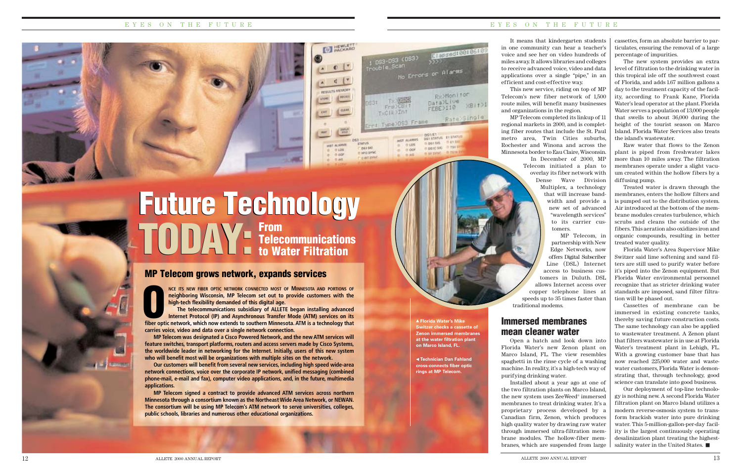It means that kindergarten students in one community can hear a teacher's voice and see her on video hundreds of miles away. It allows libraries and colleges to receive advanced voice, video and data applications over a single "pipe," in an efficient and cost-effective way.

This new service, riding on top of MP Telecom's new fiber network of 1,500 route miles, will benefit many businesses and organizations in the region.

MP Telecom completed its linkup of 11 regional markets in 2000, and is completing fiber routes that include the St. Paul metro area, Twin Cities suburbs, Rochester and Winona and across the Minnesota border to Eau Claire, Wisconsin. In December of 2000, MP Telecom initiated a plan to overlay its fiber network with Dense Wave Division Multiplex, a technology

that will increase bandwidth and provide a new set of advanced "wavelength services" to its carrier customers.

MP Telecom, in partnership with New Edge Networks, now offers Digital Subscriber Line (DSL) Internet access to business customers in Duluth. DSL allows Internet access over copper telephone lines at speeds up to 35 times faster than traditional modems.

#### Immersed membranes mean cleaner water

Open a hatch and look down into Florida Water's new Zenon plant on Marco Island, FL. The view resembles spaghetti in the rinse cycle of a washing machine. In reality, it's a high-tech way of purifying drinking water.

Installed about a year ago at one of the two filtration plants on Marco Island, the new system uses ZeeWeed® immersed membranes to treat drinking water. It's a proprietary process developed by a Canadian firm, Zenon, which produces high quality water by drawing raw water through immersed ultra-filtration membrane modules. The hollow-fiber membranes, which are suspended from large

#### EYES ON THE FUTURE

- **Florida Water's Mike Switzer checks a cassette of Zenon immersed membranes at the water filtration plant on Marco Island, FL.**

can<br>No Errors or Alarms

 $F$ ril) $CB$ 

- Type DS3 Frame

**Low At ARRES** 

 $0000$ 

 $A = 0A6$ 

 $0106$ 

**DOCTRIZINT** 

Rx>Monitor Data>Live

FEBE>110

DEMET<br>DES STATUS ET STATUS

0.081385 0.1154

**BOSICSO STREET** 

in as sync.

 $X^2$ 

Rate>Single

RESULTS INCINORY

**HILL ACAPITE** 

0105

a nor

in act

**DAY 547** 

In white system

**CALL SWAR** 

 **Technician Dan Fahland cross-connects fiber optic rings at MP Telecom.**

> Our deployment of top-line technology is nothing new. A second Florida Water filtration plant on Marco Island utilizes a modern reverse-osmosis system to transform brackish water into pure drinking water. This 5-million-gallon-per-day facility is the largest continuously operating desalinization plant treating the highestsalinity water in the United States.

#### EYES ON THE FUTURE

cassettes, form an absolute barrier to particulates, ensuring the removal of a large percentage of impurities.

The new system provides an extra level of filtration to the drinking water in this tropical isle off the southwest coast of Florida, and adds 1.67 million gallons a day to the treatment capacity of the facility, according to Frank Kane, Florida Water's lead operator at the plant. Florida Water serves a population of 13,000 people that swells to about 36,000 during the height of the tourist season on Marco Island. Florida Water Services also treats the island's wastewater.

Raw water that flows to the Zenon plant is piped from freshwater lakes more than 10 miles away. The filtration membranes operate under a slight vacuum created within the hollow fibers by a diffusing pump.

Treated water is drawn through the membranes, enters the hollow filters and is pumped out to the distribution system. Air introduced at the bottom of the membrane modules creates turbulence, which scrubs and cleans the outside of the fibers. This aeration also oxidizes iron and organic compounds, resulting in better treated water quality.

Future Technology Future Technology TODAY-From<br>to Wa Telecommunications to Water Filtration TODAY:

Florida Water's Area Supervisor Mike Switzer said lime softening and sand filters are still used to purify water before it's piped into the Zenon equipment. But Florida Water environmental personnel recognize that as stricter drinking water standards are imposed, sand filter filtration will be phased out.

Cassettes of membrane can be immersed in existing concrete tanks, thereby saving future construction costs. The same technology can also be applied to wastewater treatment. A Zenon plant that filters wastewater is in use at Florida Water's treatment plant in Lehigh, FL. With a growing customer base that has now reached 225,000 water and wastewater customers, Florida Water is demonstrating that, through technology, good science can translate into good business.

**NCE ITS NEW FIBER OPTIC NETWORK CONNECTED MOST OF MINNESOTA AND PORTIONS OF neighboring Wisconsin, MP Telecom set out to provide customers with the high-tech flexibility demanded of this digital age.**

**The telecommunications subsidiary of ALLETE began installing advanced INCE ITS NEW FIBER OPTIC NETWORK CONNECTED MOST OF MINNESOTA AND PORTIONS OF neighboring Wisconsin, MP Telecom set out to provide customers with the high-tech flexibility demanded of this digital age.**<br>The telecommunicati **carries voice, video and data over a single network connection.**

**MP Telecom was designated a Cisco Powered Network, and the new ATM services will feature switches, transport platforms, routers and access servers made by Cisco Systems, the worldwide leader in networking for the Internet. Initially, users of this new system who will benefit most will be organizations with multiple sites on the network.**

**Our customers will benefit from several new services, including high speed wide-area network connections, voice over the corporate IP network, unified messaging (combined phone-mail, e-mail and fax), computer video applications, and, in the future, multimedia applications.**

**MP Telecom signed a contract to provide advanced ATM services across northern Minnesota through a consortium known as the Northeast Wide Area Network, or NEWAN. The consortium will be using MP Telecom's ATM network to serve universities, colleges, public schools, libraries and numerous other educational organizations.**

#### MP Telecom grows network, expands services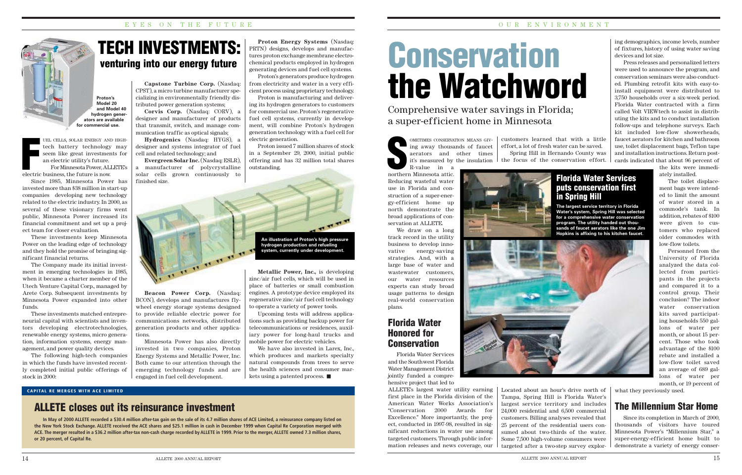**Proton's Model 20 and Model 40 hydrogen generators are available for commercial use.**

### Florida Water Honored for **Conservation**

We draw on a long track record in the utility business to develop innovative energy-saving strategies. And, with a large base of water and wastewater customers, our water resources experts can study broad usage patterns to design real-world conservation plans.

## **Conservation** the Watchword

METIMES CONSERVA<br>
ing away thousand<br>
arators and<br>
it's measured by<br>
R-value in a<br>
northern Minnesota attic. OMETIMES CONSERVATION MEANS GIVing away thousands of faucet aerators and other times it's measured by the insulation

Florida Water Services and the Southwest Florida Water Management District jointly funded a comprehensive project that led to

Reducing wasteful water use in Florida and construction of a super-energy-efficient home up north demonstrate the broad applications of conservation at ALLETE. R-value in a

ALLETE's largest water utility earning first place in the Florida division of the American Water Works Association's "Conservation 2000 Awards for Excellence." More importantly, the project, conducted in 1997-98, resulted in significant reductions in water use among targeted customers. Through public information releases and news coverage, our

Comprehensive water savings in Florida; a super-efficient home in Minnesota

> customers learned that with a little effort, a lot of fresh water can be saved. Spring Hill in Hernando County was the focus of the conservation effort.

ing demographics, income levels, number of fixtures, history of using water saving devices and lot size.

Press releases and personalized letters were used to announce the program, and conservation seminars were also conducted. Plumbing retrofit kits with easy-toinstall equipment were distributed to 3,750 households over a six-week period. Florida Water contracted with a firm called Volt VIEWtech to assist in distributing the kits and to conduct installation follow-ups and telephone surveys. Each kit included low-flow showerheads, faucet aerators for kitchen and bathroom use, toilet displacement bags, Teflon tape and installation instructions. Return postcards indicated that about 96 percent of



UEL CELLS, SOLAR ENERGY AND HIGHtech battery technology may seem like great investments for an electric utility's future. UEL CELLS, SOLAR ENERGY AN.<br>
tech battery technology<br>
seem like great investmer<br>
an electric utility's future.<br>
For Minnesota Power, AL<br>
electric business, the future is now.

the kits were immediately installed.

The toilet displacement bags were intended to limit the amount of water stored in a commode's tank. In addition, rebates of \$100 were given to customers who replaced older commodes with low-flow toilets.

Personnel from the University of Florida analyzed the data collected from participants in the projects and compared it to a control group. Their conclusion? The indoor water conservation kits saved participating households 550 gallons of water per month, or about 15 percent. Those who took advantage of the \$100 rebate and installed a low-flow toilet saved an average of 689 gallons of water per month, or 19 percent of

what they previously used.

### The Millennium Star Home

Since its completion in March of 2000, thousands of visitors have toured Minnesota Power's "Millennium Star," a super-energy-efficient home built to demonstrate a variety of energy conser-

We have also invested in Larex, Inc., which produces and markets specialty natural compounds from trees to serve the health sciences and consumer markets using a patented process.

#### Florida Water Services puts conservation first in Spring Hill

**The largest service territory in Florida Water's system, Spring Hill was selected for a comprehensive water conservation program. The utility handed out thousands of faucet aerators like the one Jim Hopkins is affixing to his kitchen faucet.**



Located about an hour's drive north of Tampa, Spring Hill is Florida Water's largest service territory and includes 24,000 residential and 6,500 commercial customers. Billing analyses revealed that 25 percent of the residential users consumed about two-thirds of the water. Some 7,500 high-volume consumers were targeted after a two-step survey explor-



For Minnesota Power, ALLETE's

#### **Capstone Turbine Corp.** (Nasdaq: CPST), a micro turbine manufacturer specializing in environmentally friendly distributed power generation systems;

**Corvis Corp.** (Nasdaq: CORV), a designer and manufacturer of products that transmit, switch, and manage communication traffic as optical signals;

**Hydrogenics** (Nasdaq: HYGS), a designer and systems integrator of fuel cell and related technology; and

**Evergreen Solar Inc.** (Nasdaq: ESLR), a manufacturer of polycrystalline solar cells grown continuously to finished size.



**Beacon Power Corp.** (Nasdaq: BCON), develops and manufactures flywheel energy storage systems designed to provide reliable electric power for communications networks, distributed generation products and other applications.

Minnesota Power has also directly invested in two companies, Proton Energy Systems and Metallic Power, Inc. Both came to our attention through the emerging technology funds and are engaged in fuel cell development.

**Proton Energy Systems** (Nasdaq: PRTN) designs, develops and manufactures proton exchange membrane electrochemical products employed in hydrogen generating devices and fuel cell systems.

Proton's generators produce hydrogen from electricity and water in a very efficient process using proprietary technology.

Proton is manufacturing and delivering its hydrogen generators to customers for commercial use. Proton's regenerative fuel cell systems, currently in development, will combine Proton's hydrogen generation technology with a fuel cell for electric generation.

Proton issued 7 million shares of stock in a September 29, 2000, initial public offering and has 32 million total shares outstanding.

**Metallic Power, Inc.,** is developing zinc/air fuel cells, which will be used in place of batteries or small combustion engines. A prototype device employed its regenerative zinc/air fuel cell technology to operate a variety of power tools.

Upcoming tests will address applications such as providing backup power for telecommunications or residences, auxiliary power for long-haul trucks and mobile power for electric vehicles.

venturing into our energy future

#### OUR ENVIRONMENT



**In May of 2000 ALLETE recorded a \$30.4 million after-tax gain on the sale of its 4.7 million shares of ACE Limited, a reinsurance company listed on the New York Stock Exchange. ALLETE received the ACE shares and \$25.1 million in cash in December 1999 when Capital Re Corporation merged with ACE. The merger resulted in a \$36.2 million after-tax non-cash charge recorded by ALLETE in 1999. Prior to the merger, ALLETE owned 7.3 million shares, or 20 percent, of Capital Re.**

#### **CAPITAL RE MERGES WITH ACE LIMITED**

## ALLETE closes out its reinsurance investment

TECH INVESTMENTS:



**system, currently under development.**

Since 1985, Minnesota Power has invested more than \$38 million in start-up companies developing new technology related to the electric industry. In 2000, as several of these visionary firms went public, Minnesota Power increased its financial commitment and set up a project team for closer evaluation.

These investments keep Minnesota Power on the leading edge of technology and they hold the promise of bringing significant financial returns.

The Company made its initial investment in emerging technologies in 1985, when it became a charter member of the Utech Venture Capital Corp., managed by Arete Corp. Subsequent investments by Minnesota Power expanded into other funds.

These investments matched entrepreneurial capital with scientists and inventors developing electrotechnologies, renewable energy systems, micro generation, information systems, energy management, and power quality devices.

The following high-tech companies in which the funds have invested recently completed initial public offerings of stock in 2000: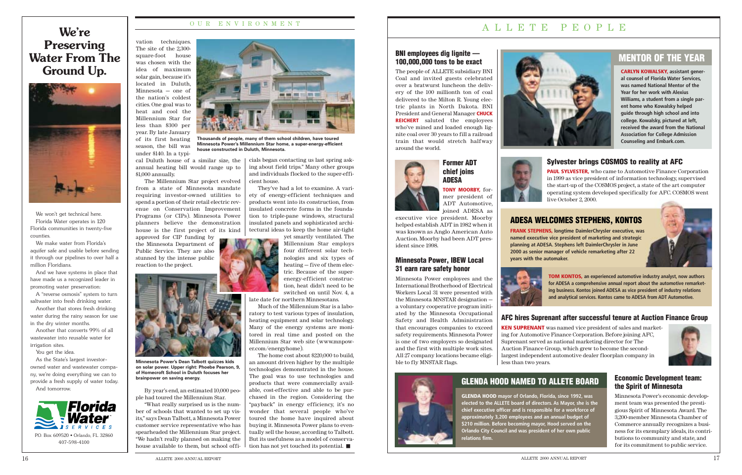vation techniques. The site of the 2,300 square-foot house was chosen with the idea of maximum solar gain, because it's located in Duluth, Minnesota — one of the nation's coldest cities. One goal was to heat and cool the Millennium Star for less than \$300 per year. By late January of its first heating season, the bill was under \$140. In a typi-

\$1,000 annually.

from a state of Minnesota mandate requiring investor-owned utilities to spend a portion of their retail electric revenue on Conservation Improvement Programs (or CIPs). Minnesota Power planners believe the demonstration house is the first project of its kind

cal Duluth house of a similar size, the  $\vert$  cials began contacting us last spring askannual heating bill would range up to The Millennium Star project evolved ing about field trips." Many other groups and individuals flocked to the super-efficient house.

approved for CIP funding by the Minnesota Department of Public Service. They are also stunned by the intense public

reaction to the project.

By year's end, an estimated 10,000 peo-

ple had toured the Millennium Star.

"What really surprised us is the number of schools that wanted to set up visits," says Dean Talbott, a Minnesota Power customer service representative who has spearheaded the Millennium Star project. "We hadn't really planned on making the house available to them, but school offi-

They've had a lot to examine. A variety of energy-efficient techniques and products went into its construction, from insulated concrete forms in the foundation to triple-pane windows, structural insulated panels and sophisticated architectural ideas to keep the home air-tight

yet smartly ventilated. The Millennium Star employs four different solar technologies and six types of heating — five of them electric. Because of the superenergy-efficient construction, heat didn't need to be switched on until Nov. 4, a

late date for northern Minnesotans.

Much of the Millennium Star is a laboratory to test various types of insulation, heating equipment and solar technology. Many of the energy systems are monitored in real time and posted on the Millennium Star web site (www.mnpower.com/energyhome).

The home cost about \$220,000 to build, an amount driven higher by the multiple technologies demonstrated in the house. The goal was to use technologies and products that were commercially available, cost-effective and able to be purchased in the region. Considering the "payback" in energy efficiency, it's no wonder that several people who've toured the home have inquired about buying it. Minnesota Power plans to eventually sell the house, according to Talbott. But its usefulness as a model of conservation has not yet touched its potential.

#### OUR ENVIRONMENT ALLETE PEOPLE

## We're Preserving Water From The Ground Up.



We won't get technical here. Florida Water operates in 120 Florida communities in twenty-five counties.

We make water from Florida's aquifer safe and usable before sending it through our pipelines to over half a million Floridians.

And we have systems in place that have made us a recognized leader in promoting water preservation:

A "reverse osmosis" system to turn saltwater into fresh drinking water.

Another that stores fresh drinking water during the rainy season for use in the dry winter months.

Another that converts 99% of all wastewater into reusable water for irrigation sites.

You get the idea.

As the State's largest investorowned water and wastewater company, we're doing everything we can to provide a fresh supply of water today. And tomorrow.



#### BNI employees dig lignite — 100,000,000 tons to be exact

The people of ALLETE subsidiary BNI Coal and invited guests celebrated over a bratwurst luncheon the delivery of the 100 millionth ton of coal delivered to the Milton R. Young electric plants in North Dakota. BNI President and General Manager **CHUCK REICHERT** saluted the employees who've mined and loaded enough lignite coal over 30 years to fill a railroad train that would stretch halfway around the world.





**TONY MOORBY,** former president of ADT Automotive, joined ADESA as

executive vice president. Moorby helped establish ADT in 1982 when it was known as Anglo American Auto Auction. Moorby had been ADT president since 1998.

#### Minnesota Power, IBEW Local 31 earn rare safety honor

Minnesota Power employees and the International Brotherhood of Electrical Workers Local 31 were presented with the Minnesota MNSTAR designation a voluntary cooperative program initiated by the Minnesota Occupational Safety and Health Administration that encourages companies to exceed safety requirements. Minnesota Power is one of two employers so designated and the first with multiple work sites. All 27 company locations became eligible to fly MNSTAR flags.



#### Economic Development team: the Spirit of Minnesota

Minnesota Power's economic development team was presented the prestigious Spirit of Minnesota Award. The 3,200-member Minnesota Chamber of Commerce annually recognizes a business for its exemplary ideals, its contributions to community and state, and for its commitment to public service.

#### AFC hires Suprenant after successful tenure at Auction Finance Group

**KEN SUPRENANT** was named vice president of sales and marketing for Automotive Finance Corporation. Before joining AFC, Suprenant served as national marketing director for The Auction Finance Group, which grew to become the secondlargest independent automotive dealer floorplan company in less than two years.



### GLENDA HOOD NAMED TO ALLETE BOARD

**GLENDA HOOD mayor of Orlando, Florida, since 1992, was elected to the ALLETE board of directors. As Mayor, she is the chief executive officer and is responsible for a workforce of approximately 3,200 employees and an annual budget of \$210 million. Before becoming mayor, Hood served on the Orlando City Council and was president of her own public relations firm.**

 $16$  allette 2000 annual report  $17$ 

## MENTOR OF THE YEAR

**CARLYN KOWALSKY, assistant general counsel of Florida Water Services, was named National Mentor of the Year for her work with Alexius Williams, a student from a single parent home who Kowalsky helped guide through high school and into college. Kowalsky, pictured at left, received the award from the National Association for College Admission Counseling and Embark.com.**

### ADESA WELCOMES STEPHENS, KONTOS

**FRANK STEPHENS, longtime DaimlerChrysler executive, was named executive vice president of marketing and strategic planning at ADESA. Stephens left DaimlerChrysler in June 2000 as senior manager of vehicle remarketing after 22 years with the automaker.**



#### Sylvester brings COSMOS to reality at AFC

**PAUL SYLVESTER,** who came to Automotive Finance Corporation in 1999 as vice president of information technology, supervised the start-up of the COSMOS project, a state of the art computer operating system developed specifically for AFC. COSMOS went live October 2, 2000.

**TOM KONTOS, an experienced automotive industry analyst, now authors for ADESA a comprehensive annual report about the automotive remarketing business. Kontos joined ADESA as vice president of industry relations and analytical services. Kontos came to ADESA from ADT Automotive.**



**Thousands of people, many of them school children, have toured Minnesota Power's Millennium Star home, a super-energy-efficient house constructed in Duluth, Minnesota.** 

**Minnesota Power's Dean Talbott quizzes kids on solar power. Upper right: Phoebe Pearson, 9, of Homecroft School in Duluth focuses her**

**brainpower on saving energy.**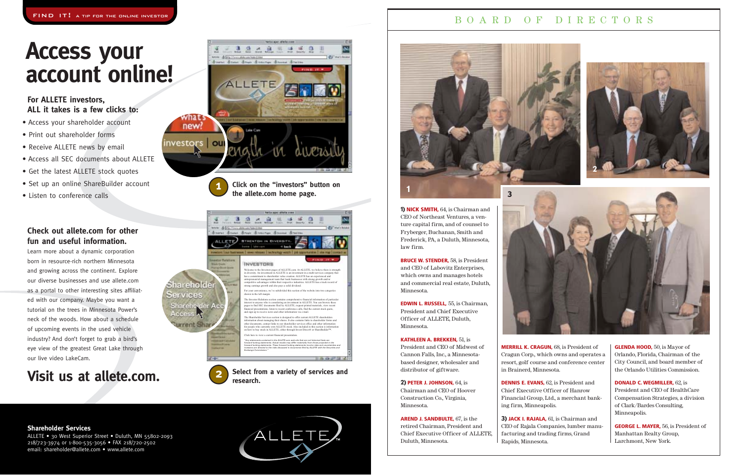### BOARD OF DIRECTORS

**1) NICK SMITH,** 64, is Chairman and CEO of Northeast Ventures, a venture capital firm, and of counsel to Fryberger, Buchanan, Smith and Frederick, PA, a Duluth, Minnesota, law firm.

**BRUCE W. STENDER,** 58, is President and CEO of Labovitz Enterprises, which owns and manages hotels and commercial real estate, Duluth, Minnesota.

**EDWIN L. RUSSELL,** 55, is Chairman, President and Chief Executive Officer of ALLETE, Duluth, Minnesota.

#### **KATHLEEN A. BREKKEN,** 51, is

President and CEO of Midwest of Cannon Falls, Inc., a Minnesotabased designer, wholesaler and distributor of giftware.

**2) PETER J. JOHNSON,** 64, is

Chairman and CEO of Hoover Construction Co., Virginia, Minnesota.

**AREND J. SANDBULTE,** 67, is the retired Chairman, President and Chief Executive Officer of ALLETE, Duluth, Minnesota.



**MERRILL K. CRAGUN,** 68, is President of Cragun Corp., which owns and operates a resort, golf course and conference center

## in Brainerd, Minnesota.

**DENNIS E. EVANS,** 62, is President and Chief Executive Officer of Hanrow Financial Group, Ltd., a merchant banking firm, Minneapolis.

**3) JACK I. RAJALA,** 61, is Chairman and CEO of Rajala Companies, lumber manufacturing and trading firms, Grand Rapids, Minnesota.



**GLENDA HOOD,** 50, is Mayor of Orlando, Florida, Chairman of the City Council, and board member of the Orlando Utilities Commission.

**DONALD C. WEGMILLER,** 62, is President and CEO of HealthCare Compensation Strategies, a division of Clark/Bardes Consulting, Minneapolis.

**GEORGE L. MAYER,** 56, is President of Manhattan Realty Group, Larchmont, New York.





**Click on the "investors" button on the allete.com home page.**

- Access your shareholder account
- Print out shareholder forms
- Receive ALLETE news by email
- Access all SEC documents about ALLETE
- Get the latest ALLETE stock quotes
- Set up an online ShareBuilder account
- Listen to conference calls

#### **Shareholder Services**

ALLETE • 30 West Superior Street • Duluth, MN 55802-2093 218/723-3974 or 1-800-535-3056 • FAX 218/720-2502 email: shareholder@allete.com • www.allete.com





## **Access your account online!**

### **Check out allete.com for other fun and useful information.**





Learn more about a dynamic corporation born in resource-rich northern Minnesota and growing across the continent. Explore our diverse businesses and use allete.com as a portal to other interesting sites affiliated with our company. Maybe you want a tutorial on the trees in Minnesota Power's neck of the woods. How about a schedule of upcoming events in the used vehicle industry? And don't forget to grab a bird's eye view of the greatest Great Lake through our live video LakeCam.

## **Visit us at allete.com. Select from a variety of services and**



### **For ALLETE investors, ALL it takes is a few clicks to:**